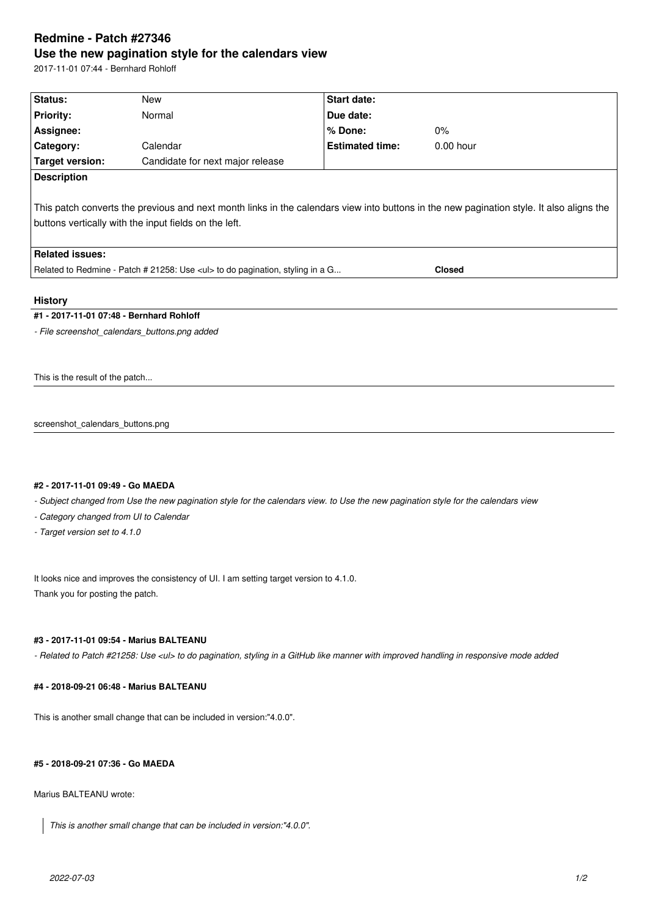# **Redmine - Patch #27346 Use the new pagination style for the calendars view**

2017-11-01 07:44 - Bernhard Rohloff

| Status:                                                                                                                                  | <b>New</b>                       | Start date:            |             |  |  |
|------------------------------------------------------------------------------------------------------------------------------------------|----------------------------------|------------------------|-------------|--|--|
| <b>Priority:</b>                                                                                                                         | Normal                           | Due date:              |             |  |  |
| Assignee:                                                                                                                                |                                  | % Done:                | $0\%$       |  |  |
| Category:                                                                                                                                | Calendar                         | <b>Estimated time:</b> | $0.00$ hour |  |  |
| Target version:                                                                                                                          | Candidate for next major release |                        |             |  |  |
| <b>Description</b>                                                                                                                       |                                  |                        |             |  |  |
|                                                                                                                                          |                                  |                        |             |  |  |
| This patch converts the previous and next month links in the calendars view into buttons in the new pagination style. It also aligns the |                                  |                        |             |  |  |
| buttons vertically with the input fields on the left.                                                                                    |                                  |                        |             |  |  |
|                                                                                                                                          |                                  |                        |             |  |  |
| <b>Related issues:</b>                                                                                                                   |                                  |                        |             |  |  |
| Related to Redmine - Patch # 21258: Use <ul> to do pagination, styling in a G<br/><b>Closed</b></ul>                                     |                                  |                        |             |  |  |
|                                                                                                                                          |                                  |                        |             |  |  |
| <b>History</b>                                                                                                                           |                                  |                        |             |  |  |
| #1 - 2017-11-01 07:48 - Bernhard Rohloff                                                                                                 |                                  |                        |             |  |  |
| - File screenshot calendars buttons.png added                                                                                            |                                  |                        |             |  |  |
|                                                                                                                                          |                                  |                        |             |  |  |
|                                                                                                                                          |                                  |                        |             |  |  |
| This is the result of the patch                                                                                                          |                                  |                        |             |  |  |

screenshot\_calendars\_buttons.png

### **#2 - 2017-11-01 09:49 - Go MAEDA**

*- Subject changed from Use the new pagination style for the calendars view. to Use the new pagination style for the calendars view*

*- Category changed from UI to Calendar*

*- Target version set to 4.1.0*

It looks nice and improves the consistency of UI. I am setting target version to 4.1.0. Thank you for posting the patch.

# **#3 - 2017-11-01 09:54 - Marius BALTEANU**

*- Related to Patch #21258: Use <ul> to do pagination, styling in a GitHub like manner with improved handling in responsive mode added*

# **#4 - 2018-09-21 06:48 - Marius BALTEANU**

This is another small change that can be included in version:"4.0.0".

## **#5 - 2018-09-21 07:36 - Go MAEDA**

Marius BALTEANU wrote:

*This is another small change that can be included in version:"4.0.0".*